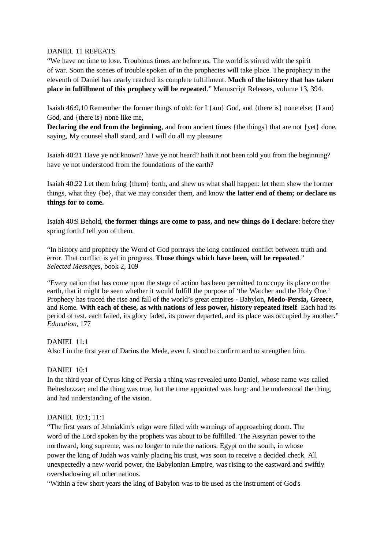## DANIEL 11 REPEATS

"We have no time to lose. Troublous times are before us. The world is stirred with the spirit of war. Soon the scenes of trouble spoken of in the prophecies will take place. The prophecy in the eleventh of Daniel has nearly reached its complete fulfillment. **Much of the history that has taken place in fulfillment of this prophecy will be repeated**." Manuscript Releases, volume 13, 394.

Isaiah 46:9,10 Remember the former things of old: for I {am} God, and {there is} none else; {I am} God, and {there is} none like me,

**Declaring the end from the beginning**, and from ancient times {the things} that are not {yet} done, saying, My counsel shall stand, and I will do all my pleasure:

Isaiah 40:21 Have ye not known? have ye not heard? hath it not been told you from the beginning? have ye not understood from the foundations of the earth?

Isaiah 40:22 Let them bring {them} forth, and shew us what shall happen: let them shew the former things, what they {be}, that we may consider them, and know **the latter end of them; or declare us things for to come.** 

Isaiah 40:9 Behold, **the former things are come to pass, and new things do I declare**: before they spring forth I tell you of them.

"In history and prophecy the Word of God portrays the long continued conflict between truth and error. That conflict is yet in progress. **Those things which have been, will be repeated**." *Selected Messages*, book 2, 109

"Every nation that has come upon the stage of action has been permitted to occupy its place on the earth, that it might be seen whether it would fulfill the purpose of 'the Watcher and the Holy One.' Prophecy has traced the rise and fall of the world's great empires - Babylon, **Medo-Persia, Greece**, and Rome. **With each of these, as with nations of less power, history repeated itself**. Each had its period of test, each failed, its glory faded, its power departed, and its place was occupied by another." *Education*, 177

# DANIEL 11:1

Also I in the first year of Darius the Mede, even I, stood to confirm and to strengthen him.

# DANIEL 10:1

In the third year of Cyrus king of Persia a thing was revealed unto Daniel, whose name was called Belteshazzar; and the thing was true, but the time appointed was long: and he understood the thing, and had understanding of the vision.

## DANIEL 10:1; 11:1

"The first years of Jehoiakim's reign were filled with warnings of approaching doom. The word of the Lord spoken by the prophets was about to be fulfilled. The Assyrian power to the northward, long supreme, was no longer to rule the nations. Egypt on the south, in whose power the king of Judah was vainly placing his trust, was soon to receive a decided check. All unexpectedly a new world power, the Babylonian Empire, was rising to the eastward and swiftly overshadowing all other nations.

"Within a few short years the king of Babylon was to be used as the instrument of God's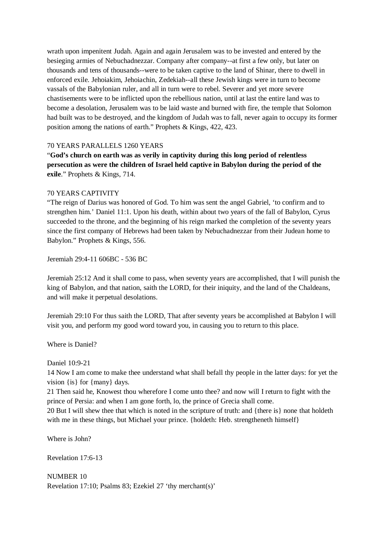wrath upon impenitent Judah. Again and again Jerusalem was to be invested and entered by the besieging armies of Nebuchadnezzar. Company after company--at first a few only, but later on thousands and tens of thousands--were to be taken captive to the land of Shinar, there to dwell in enforced exile. Jehoiakim, Jehoiachin, Zedekiah--all these Jewish kings were in turn to become vassals of the Babylonian ruler, and all in turn were to rebel. Severer and yet more severe chastisements were to be inflicted upon the rebellious nation, until at last the entire land was to become a desolation, Jerusalem was to be laid waste and burned with fire, the temple that Solomon had built was to be destroyed, and the kingdom of Judah was to fall, never again to occupy its former position among the nations of earth." Prophets & Kings, 422, 423.

## 70 YEARS PARALLELS 1260 YEARS

"**God's church on earth was as verily in captivity during this long period of relentless persecution as were the children of Israel held captive in Babylon during the period of the exile**." Prophets & Kings, 714.

## 70 YEARS CAPTIVITY

"The reign of Darius was honored of God. To him was sent the angel Gabriel, 'to confirm and to strengthen him.' Daniel 11:1. Upon his death, within about two years of the fall of Babylon, Cyrus succeeded to the throne, and the beginning of his reign marked the completion of the seventy years since the first company of Hebrews had been taken by Nebuchadnezzar from their Judean home to Babylon." Prophets & Kings, 556.

Jeremiah 29:4-11 606BC - 536 BC

Jeremiah 25:12 And it shall come to pass, when seventy years are accomplished, that I will punish the king of Babylon, and that nation, saith the LORD, for their iniquity, and the land of the Chaldeans, and will make it perpetual desolations.

Jeremiah 29:10 For thus saith the LORD, That after seventy years be accomplished at Babylon I will visit you, and perform my good word toward you, in causing you to return to this place.

Where is Daniel?

Daniel 10:9-21

14 Now I am come to make thee understand what shall befall thy people in the latter days: for yet the vision {is} for {many} days.

21 Then said he, Knowest thou wherefore I come unto thee? and now will I return to fight with the prince of Persia: and when I am gone forth, lo, the prince of Grecia shall come.

20 But I will shew thee that which is noted in the scripture of truth: and {there is} none that holdeth with me in these things, but Michael your prince. {holdeth: Heb. strengtheneth himself}

Where is John?

Revelation 17:6-13

NUMBER 10 Revelation 17:10; Psalms 83; Ezekiel 27 'thy merchant(s)'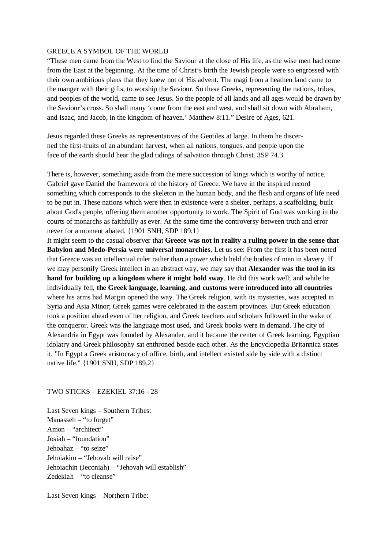#### GREECE A SYMBOL OF THE WORLD

"These men came from the West to find the Saviour at the close of His life, as the wise men had come from the East at the beginning. At the time of Christ's birth the Jewish people were so engrossed with their own ambitious plans that they knew not of His advent. The magi from a heathen land came to the manger with their gifts, to worship the Saviour. So these Greeks, representing the nations, tribes, and peoples of the world, came to see Jesus. So the people of all lands and all ages would be drawn by the Saviour's cross. So shall many 'come from the east and west, and shall sit down with Abraham, and Isaac, and Jacob, in the kingdom of heaven.' Matthew 8:11." Desire of Ages, 621.

Jesus regarded these Greeks as representatives of the Gentiles at large. In them he discerned the first-fruits of an abundant harvest, when all nations, tongues, and people upon the face of the earth should hear the glad tidings of salvation through Christ. 3SP 74.3

There is, however, something aside from the mere succession of kings which is worthy of notice. Gabriel gave Daniel the framework of the history of Greece. We have in the inspired record something which corresponds to the skeleton in the human body, and the flesh and organs of life need to be put in. These nations which were then in existence were a shelter, perhaps, a scaffolding, built about God's people, offering them another opportunity to work. The Spirit of God was working in the courts of monarchs as faithfully as ever. At the same time the controversy between truth and error never for a moment abated. {1901 SNH, SDP 189.1}

It might seem to the casual observer that **Greece was not in reality a ruling power in the sense that Babylon and Medo-Persia were universal monarchies**. Let us see: From the first it has been noted that Greece was an intellectual ruler rather than a power which held the bodies of men in slavery. If we may personify Greek intellect in an abstract way, we may say that **Alexander was the tool in its hand for building up a kingdom where it might hold sway**. He did this work well; and while he individually fell, **the Greek language, learning, and customs were introduced into all countries** where his arms had Margin opened the way. The Greek religion, with its mysteries, was accepted in Syria and Asia Minor; Greek games were celebrated in the eastern provinces. But Greek education took a position ahead even of her religion, and Greek teachers and scholars followed in the wake of the conqueror. Greek was the language most used, and Greek books were in demand. The city of Alexandria in Egypt was founded by Alexander, and it became the center of Greek learning. Egyptian idolatry and Greek philosophy sat enthroned beside each other. As the Encyclopedia Britannica states it, "In Egypt a Greek aristocracy of office, birth, and intellect existed side by side with a distinct native life." {1901 SNH, SDP 189.2}

## TWO STICKS – EZEKIEL 37:16 - 28

Last Seven kings – Southern Tribes: Manasseh – "to forget" Amon – "architect" Josiah – "foundation" Jehoahaz – "to seize" Jehoiakim – "Jehovah will raise" Jehoiachin (Jeconiah) – "Jehovah will establish" Zedekiah – "to cleanse"

Last Seven kings – Northern Tribe: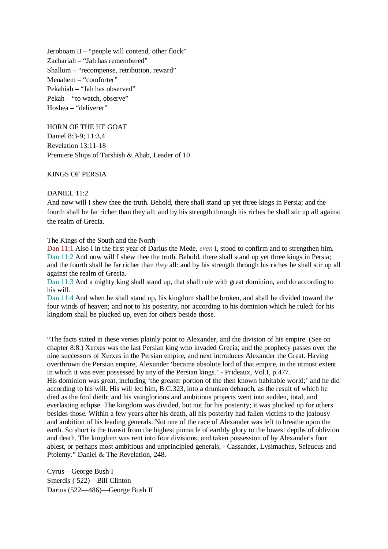Jeroboam II – "people will contend, other flock" Zachariah – "Jah has remembered" Shallum – "recompense, retribution, reward" Menahem – "comforter" Pekahiah – "Jah has observed" Pekah – "to watch, observe" Hoshea – "deliverer"

HORN OF THE HE GOAT Daniel 8:3-9; 11:3,4 Revelation 13:11-18 Premiere Ships of Tarshish & Ahab, Leader of 10

### KINGS OF PERSIA

DANIEL 11:2

And now will I shew thee the truth. Behold, there shall stand up yet three kings in Persia; and the fourth shall be far richer than they all: and by his strength through his riches he shall stir up all against the realm of Grecia.

The Kings of the South and the North

Dan 11:1 Also I in the first year of Darius the Mede, *even* I, stood to confirm and to strengthen him. Dan 11:2 And now will I shew thee the truth. Behold, there shall stand up yet three kings in Persia; and the fourth shall be far richer than *they* all: and by his strength through his riches he shall stir up all against the realm of Grecia.

Dan 11:3 And a mighty king shall stand up, that shall rule with great dominion, and do according to his will.

Dan 11:4 And when he shall stand up, his kingdom shall be broken, and shall be divided toward the four winds of heaven; and not to his posterity, nor according to his dominion which he ruled: for his kingdom shall be plucked up, even for others beside those.

"The facts stated in these verses plainly point to Alexander, and the division of his empire. (See on chapter 8:8.) Xerxes was the last Persian king who invaded Grecia; and the prophecy passes over the nine successors of Xerxes in the Persian empire, and next introduces Alexander the Great. Having overthrown the Persian empire, Alexander 'became absolute lord of that empire, in the utmost extent in which it was ever possessed by any of the Persian kings.' - Prideaux, Vol.I, p.477. His dominion was great, including 'the greater portion of the then known habitable world;' and he did according to his will. His will led him, B.C.323, into a drunken debauch, as the result of which he died as the fool dieth; and his vainglorious and ambitious projects went into sudden, total, and everlasting eclipse. The kingdom was divided, but not for his posterity; it was plucked up for others besides those. Within a few years after his death, all his posterity had fallen victims to the jealousy and ambition of his leading generals. Not one of the race of Alexander was left to breathe upon the earth. So short is the transit from the highest pinnacle of earthly glory to the lowest depths of oblivion and death. The kingdom was rent into four divisions, and taken possession of by Alexander's four ablest, or perhaps most ambitious and unprincipled generals, - Cassander, Lysimachus, Seleucus and Ptolemy." Daniel & The Revelation, 248.

Cyrus—George Bush I Smerdis ( 522)—Bill Clinton Darius (522—486)—George Bush II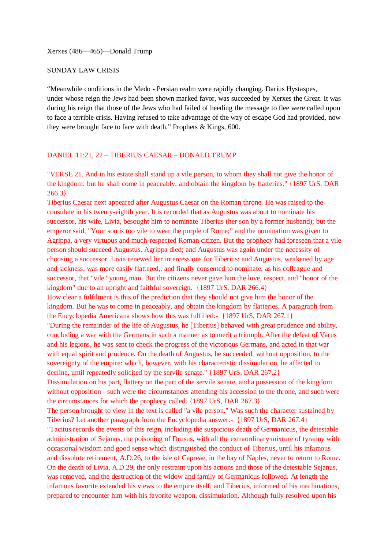## SUNDAY LAW CRISIS

"Meanwhile conditions in the Medo - Persian realm were rapidly changing. Darius Hystaspes, under whose reign the Jews had been shown marked favor, was succeeded by Xerxes the Great. It was during his reign that those of the Jews who had failed of heeding the message to flee were called upon to face a terrible crisis. Having refused to take advantage of the way of escape God had provided, now they were brought face to face with death." Prophets & Kings, 600.

## DANIEL 11:21, 22 – TIBERIUS CAESAR – DONALD TRUMP

"VERSE 21. And in his estate shall stand up a vile person, to whom they shall not give the honor of the kingdom: but he shall come in peaceably, and obtain the kingdom by flatteries." {1897 UrS, DAR 266.3}

Tiberius Caesar next appeared after Augustus Caesar on the Roman throne. He was raised to the consulate in his twenty-eighth year. It is recorded that as Augustus was about to nominate his successor, his wife, Livia, besought him to nominate Tiberius (her son by a former husband); but the emperor said, "Your son is too vile to wear the purple of Rome;" and the nomination was given to Agrippa, a very virtuous and much-respected Roman citizen. But the prophecy had foreseen that a vile person should succeed Augustus. Agrippa died; and Augustus was again under the necessity of choosing a successor. Livia renewed her intercessions for Tiberius; and Augustus, weakened by age and sickness, was more easily flattered,, and finally consented to nominate, as his colleague and successor, that "vile" young man. But the citizens never gave him the love, respect, and "honor of the kingdom" due to an upright and faithful sovereign. {1897 UrS, DAR 266.4}

How clear a fulfilment is this of the prediction that they should not give him the honor of the kingdom. But he was to come in peaceably, and obtain the kingdom by flatteries. A paragraph from the Encyclopedia Americana shows how this was fulfilled:- {1897 UrS, DAR 267.1}

"During the remainder of the life of Augustus, he [Tiberius] behaved with great prudence and ability, concluding a war with the Germans in such a manner as to merit a triumph. After the defeat of Varus and his legions, he was sent to check the progress of the victorious Germans, and acted in that war with equal spirit and prudence. On the death of Augustus, he succeeded, without opposition, to the sovereignty of the empire: which, however, with his characteristic dissimulation, he affected to decline, until repeatedly solicited by the servile senate." {1897 UrS, DAR 267.2}

Dissimulation on his part, flattery on the part of the servile senate, and a possession of the kingdom without opposition - such were the circumstances attending his accession to the throne, and such were the circumstances for which the prophecy called. {1897 UrS, DAR 267.3}

The person brought to view in the text is called "a vile person." Was such the character sustained by Tiberius? Let another paragraph from the Encyclopedia answer:- {1897 UrS, DAR 267.4}

"Tacitus records the events of this reign, including the suspicious death of Germanicus, the detestable administration of Sejanus, the poisoning of Drusus, with all the extraordinary mixture of tyranny with occasional wisdom and good sense which distinguished the conduct of Tiberius, until his infamous and dissolute retirement, A.D.26, to the isle of Capreae, in the bay of Naples, never to return to Rome. On the death of Livia, A.D.29, the only restraint upon his actions and those of the detestable Sejanus, was removed, and the destruction of the widow and family of Germanicus followed. At length the infamous favorite extended his views to the empire itself, and Tiberius, informed of his machinations, prepared to encounter him with his favorite weapon, dissimulation. Although fully resolved upon his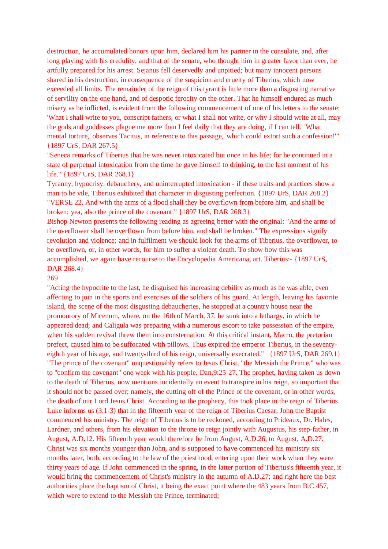destruction, he accumulated honors upon him, declared him his partner in the consulate, and, after long playing with his credulity, and that of the senate, who thought him in greater favor than ever, he artfully prepared for his arrest. Sejanus fell deservedly and unpitied; but many innocent persons shared in his destruction, in consequence of the suspicion and cruelty of Tiberius, which now exceeded all limits. The remainder of the reign of this tyrant is little more than a disgusting narrative of servility on the one hand, and of despotic ferocity on the other. That he himself endured as much misery as he inflicted, is evident from the following commencement of one of his letters to the senate: 'What I shall write to you, conscript fathers, or what I shall not write, or why I should write at all, may the gods and goddesses plague me more than I feel daily that they are doing, if I can tell.' 'What mental torture,' observes Tacitus, in reference to this passage, 'which could extort such a confession!'" {1897 UrS, DAR 267.5}

"Seneca remarks of Tiberius that he was never intoxicated but once in his life; for he continued in a state of perpetual intoxication from the time he gave himself to drinking, to the last moment of his life." {1897 UrS, DAR 268.1}

Tyranny, hypocrisy, debauchery, and uninterrupted intoxication - if these traits and practices show a man to be vile, Tiberius exhibited that character in disgusting perfection. {1897 UrS, DAR 268.2} "VERSE 22. And with the arms of a flood shall they be overflown from before him, and shall be broken; yea, also the prince of the covenant." {1897 UrS, DAR 268.3}

Bishop Newton presents the following reading as agreeing better with the original: "And the arms of the overflower shall be overflown from before him, and shall be broken." The expressions signify revolution and violence; and in fulfilment we should look for the arms of Tiberius, the overflower, to be overflown, or, in other words, for him to suffer a violent death. To show how this was accomplished, we again have recourse to the Encyclopedia Americana, art. Tiberius:- {1897 UrS, DAR 268.4}

269

"Acting the hypocrite to the last, he disguised his increasing debility as much as he was able, even affecting to join in the sports and exercises of the soldiers of his guard. At length, leaving his favorite island, the scene of the most disgusting debaucheries, he stopped at a country house near the promontory of Micenum, where, on the 16th of March, 37, he sunk into a lethargy, in which he appeared dead; and Caligula was preparing with a numerous escort to take possession of the empire, when his sudden revival threw them into consternation. At this critical instant, Macro, the pretorian prefect, caused him to be suffocated with pillows. Thus expired the emperor Tiberius, in the seventyeighth year of his age, and twenty-third of his reign, universally execrated." {1897 UrS, DAR 269.1} "The prince of the covenant" unquestionably refers to Jesus Christ, "the Messiah the Prince," who was to "confirm the covenant" one week with his people. Dan.9:25-27. The prophet, having taken us down to the death of Tiberius, now mentions incidentally an event to transpire in his reign, so important that it should not be passed over; namely, the cutting off of the Prince of the covenant, or in other words, the death of our Lord Jesus Christ. According to the prophecy, this took place in the reign of Tiberius. Luke informs us (3:1-3) that in the fifteenth year of the reign of Tiberius Caesar, John the Baptist commenced his ministry. The reign of Tiberius is to be reckoned, according to Prideaux, Dr. Hales, Lardner, and others, from his elevation to the throne to reign jointly with Augustus, his step-father, in August, A.D.12. His fifteenth year would therefore be from August, A.D.26, to August, A.D.27. Christ was six months younger than John, and is supposed to have commenced his ministry six months later, both, according to the law of the priesthood, entering upon their work when they were thirty years of age. If John commenced in the spring, in the latter portion of Tiberius's fifteenth year, it would bring the commencement of Christ's ministry in the autumn of A.D.27; and right here the best authorities place the baptism of Christ, it being the exact point where the 483 years from B.C.457, which were to extend to the Messiah the Prince, terminated;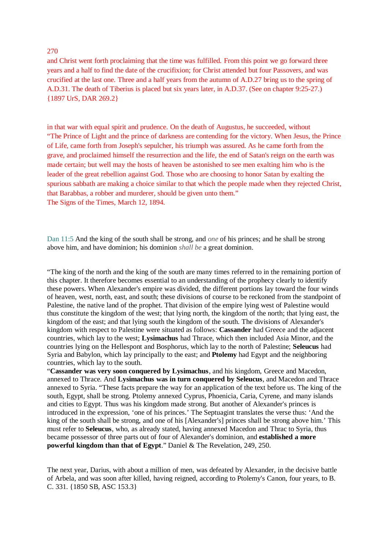#### 270

and Christ went forth proclaiming that the time was fulfilled. From this point we go forward three years and a half to find the date of the crucifixion; for Christ attended but four Passovers, and was crucified at the last one. Three and a half years from the autumn of A.D.27 bring us to the spring of A.D.31. The death of Tiberius is placed but six years later, in A.D.37. (See on chapter 9:25-27.) {1897 UrS, DAR 269.2}

in that war with equal spirit and prudence. On the death of Augustus, he succeeded, without "The Prince of Light and the prince of darkness are contending for the victory. When Jesus, the Prince of Life, came forth from Joseph's sepulcher, his triumph was assured. As he came forth from the grave, and proclaimed himself the resurrection and the life, the end of Satan's reign on the earth was made certain; but well may the hosts of heaven be astonished to see men exalting him who is the leader of the great rebellion against God. Those who are choosing to honor Satan by exalting the spurious sabbath are making a choice similar to that which the people made when they rejected Christ, that Barabbas, a robber and murderer, should be given unto them." The Signs of the Times, March 12, 1894.

Dan 11:5 And the king of the south shall be strong, and *one* of his princes; and he shall be strong above him, and have dominion; his dominion *shall be* a great dominion.

"The king of the north and the king of the south are many times referred to in the remaining portion of this chapter. It therefore becomes essential to an understanding of the prophecy clearly to identify these powers. When Alexander's empire was divided, the different portions lay toward the four winds of heaven, west, north, east, and south; these divisions of course to be reckoned from the standpoint of Palestine, the native land of the prophet. That division of the empire lying west of Palestine would thus constitute the kingdom of the west; that lying north, the kingdom of the north; that lying east, the kingdom of the east; and that lying south the kingdom of the south. The divisions of Alexander's kingdom with respect to Palestine were situated as follows: **Cassander** had Greece and the adjacent countries, which lay to the west; **Lysimachus** had Thrace, which then included Asia Minor, and the countries lying on the Hellespont and Bosphorus, which lay to the north of Palestine; **Seleucus** had Syria and Babylon, which lay principally to the east; and **Ptolemy** had Egypt and the neighboring countries, which lay to the south.

"**Cassander was very soon conquered by Lysimachus**, and his kingdom, Greece and Macedon, annexed to Thrace. And **Lysimachus was in turn conquered by Seleucus**, and Macedon and Thrace annexed to Syria. "These facts prepare the way for an application of the text before us. The king of the south, Egypt, shall be strong. Ptolemy annexed Cyprus, Phoenicia, Caria, Cyrene, and many islands and cities to Egypt. Thus was his kingdom made strong. But another of Alexander's princes is introduced in the expression, 'one of his princes.' The Septuagint translates the verse thus: 'And the king of the south shall be strong, and one of his [Alexander's] princes shall be strong above him.' This must refer to **Seleucus**, who, as already stated, having annexed Macedon and Thrac to Syria, thus became possessor of three parts out of four of Alexander's dominion, and **established a more powerful kingdom than that of Egypt**." Daniel & The Revelation, 249, 250.

The next year, Darius, with about a million of men, was defeated by Alexander, in the decisive battle of Arbela, and was soon after killed, having reigned, according to Ptolemy's Canon, four years, to B. C. 331. {1850 SB, ASC 153.3}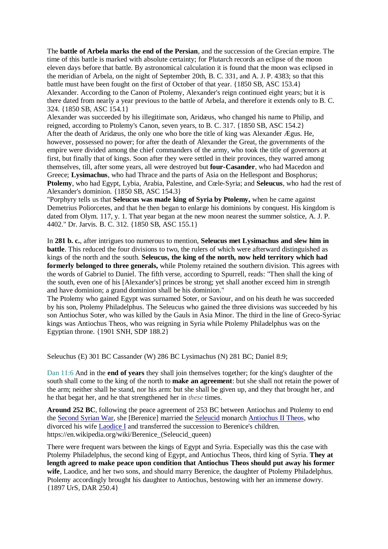The **battle of Arbela marks the end of the Persian**, and the succession of the Grecian empire. The time of this battle is marked with absolute certainty; for Plutarch records an eclipse of the moon eleven days before that battle. By astronomical calculation it is found that the moon was eclipsed in the meridian of Arbela, on the night of September 20th, B. C. 331, and A. J. P. 4383; so that this battle must have been fought on the first of October of that year. {1850 SB, ASC 153.4} Alexander. According to the Canon of Ptolemy, Alexander's reign continued eight years; but it is there dated from nearly a year previous to the battle of Arbela, and therefore it extends only to B. C. 324. {1850 SB, ASC 154.1}

Alexander was succeeded by his illegitimate son, Aridæus, who changed his name to Philip, and reigned, according to Ptolemy's Canon, seven years, to B. C. 317. {1850 SB, ASC 154.2} After the death of Aridæus, the only one who bore the title of king was Alexander Ægus. He, however, possessed no power; for after the death of Alexander the Great, the governments of the empire were divided among the chief commanders of the army, who took the title of governors at first, but finally that of kings. Soon after they were settled in their provinces, they warred among themselves, till, after some years, all were destroyed but **four-Casander**, who had Macedon and Greece; **Lysimachus**, who had Thrace and the parts of Asia on the Hellespont and Bosphorus; **Ptolemy**, who had Egypt, Lybia, Arabia, Palestine, and Cœle-Syria; and **Seleucus**, who had the rest of Alexander's dominion. {1850 SB, ASC 154.3}

"Porphyry tells us that **Seleucus was made king of Syria by Ptolemy,** when he came against Demetrius Poliorcetes, and that he then began to enlarge his dominions by conquest. His kingdom is dated from Olym. 117, y. 1. That year began at the new moon nearest the summer solstice, A. J. P. 4402." Dr. Jarvis. B. C. 312. {1850 SB, ASC 155.1}

In **281 b. c.**, after intrigues too numerous to mention, **Seleucus met Lysimachus and slew him in battle**. This reduced the four divisions to two, the rulers of which were afterward distinguished as kings of the north and the south. **Seleucus, the king of the north, now held territory which had formerly belonged to three generals,** while Ptolemy retained the southern division. This agrees with the words of Gabriel to Daniel. The fifth verse, according to Spurrell, reads: "Then shall the king of the south, even one of his [Alexander's] princes be strong; yet shall another exceed him in strength and have dominion; a grand dominion shall be his dominion."

The Ptolemy who gained Egypt was surnamed Soter, or Saviour, and on his death he was succeeded by his son, Ptolemy Philadelphus. The Seleucus who gained the three divisions was succeeded by his son Antiochus Soter, who was killed by the Gauls in Asia Minor. The third in the line of Greco-Syriac kings was Antiochus Theos, who was reigning in Syria while Ptolemy Philadelphus was on the Egyptian throne. {1901 SNH, SDP 188.2}

Seleuchus (E) 301 BC Cassander (W) 286 BC Lysimachus (N) 281 BC; Daniel 8:9;

Dan 11:6 And in the **end of years** they shall join themselves together; for the king's daughter of the south shall come to the king of the north to **make an agreement**: but she shall not retain the power of the arm; neither shall he stand, nor his arm: but she shall be given up, and they that brought her, and he that begat her, and he that strengthened her in *these* times.

**Around 252 BC**, following the peace agreement of 253 BC between Antiochus and Ptolemy to end the Second Syrian War, she [Berenice] married the Seleucid monarch Antiochus II Theos, who divorced his wife Laodice I and transferred the succession to Berenice's children. https://en.wikipedia.org/wiki/Berenice (Seleucid queen)

There were frequent wars between the kings of Egypt and Syria. Especially was this the case with Ptolemy Philadelphus, the second king of Egypt, and Antiochus Theos, third king of Syria. **They at length agreed to make peace upon condition that Antiochus Theos should put away his former wife**, Laodice, and her two sons, and should marry Berenice, the daughter of Ptolemy Philadelphus. Ptolemy accordingly brought his daughter to Antiochus, bestowing with her an immense dowry. {1897 UrS, DAR 250.4}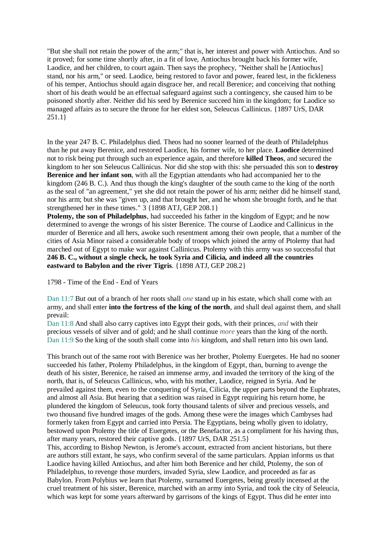"But she shall not retain the power of the arm;" that is, her interest and power with Antiochus. And so it proved; for some time shortly after, in a fit of love, Antiochus brought back his former wife, Laodice, and her children, to court again. Then says the prophecy, "Neither shall he [Antiochus] stand, nor his arm," or seed. Laodice, being restored to favor and power, feared lest, in the fickleness of his temper, Antiochus should again disgrace her, and recall Berenice; and conceiving that nothing short of his death would be an effectual safeguard against such a contingency, she caused him to be poisoned shortly after. Neither did his seed by Berenice succeed him in the kingdom; for Laodice so managed affairs as to secure the throne for her eldest son, Seleucus Callinicus. {1897 UrS, DAR 251.1}

In the year 247 B. C. Philadelphus died. Theos had no sooner learned of the death of Philadelphus than he put away Berenice, and restored Laodice, his former wife, to her place. **Laodice** determined not to risk being put through such an experience again, and therefore **killed Theos**, and secured the kingdom to her son Seleucus Callinicus. Nor did she stop with this: she persuaded this son to **destroy Berenice and her infant son**, with all the Egyptian attendants who had accompanied her to the kingdom (246 B. C.). And thus though the king's daughter of the south came to the king of the north as the seal of "an agreement," yet she did not retain the power of his arm; neither did he himself stand, nor his arm; but she was "given up, and that brought her, and he whom she brought forth, and he that strengthened her in these times." 3 {1898 ATJ, GEP 208.1}

**Ptolemy, the son of Philadelphus**, had succeeded his father in the kingdom of Egypt; and he now determined to avenge the wrongs of his sister Berenice. The course of Laodice and Callinicus in the murder of Berenice and all hers, awoke such resentment among their own people, that a number of the cities of Asia Minor raised a considerable body of troops which joined the army of Ptolemy that had marched out of Egypt to make war against Callinicus. Ptolemy with this army was so successful that **246 B. C., without a single check, he took Syria and Cilicia, and indeed all the countries eastward to Babylon and the river Tigris**. {1898 ATJ, GEP 208.2}

1798 - Time of the End - End of Years

Dan 11:7 But out of a branch of her roots shall *one* stand up in his estate, which shall come with an army, and shall enter **into the fortress of the king of the north**, and shall deal against them, and shall prevail:

Dan 11:8 And shall also carry captives into Egypt their gods, with their princes, *and* with their precious vessels of silver and of gold; and he shall continue *more* years than the king of the north. Dan 11:9 So the king of the south shall come into *his* kingdom, and shall return into his own land.

This branch out of the same root with Berenice was her brother, Ptolemy Euergetes. He had no sooner succeeded his father, Ptolemy Philadelphus, in the kingdom of Egypt, than, burning to avenge the death of his sister, Berenice, he raised an immense army, and invaded the territory of the king of the north, that is, of Seleucus Callinicus, who, with his mother, Laodice, reigned in Syria. And he prevailed against them, even to the conquering of Syria, Cilicia, the upper parts beyond the Euphrates, and almost all Asia. But hearing that a sedition was raised in Egypt requiring his return home, he plundered the kingdom of Seleucus, took forty thousand talents of silver and precious vessels, and two thousand five hundred images of the gods. Among these were the images which Cambyses had formerly taken from Egypt and carried into Persia. The Egyptians, being wholly given to idolatry, bestowed upon Ptolemy the title of Euergetes, or the Benefactor, as a compliment for his having thus, after many years, restored their captive gods. {1897 UrS, DAR 251.5}

This, according to Bishop Newton, is Jerome's account, extracted from ancient historians, but there are authors still extant, he says, who confirm several of the same particulars. Appian informs us that Laodice having killed Antiochus, and after him both Berenice and her child, Ptolemy, the son of Philadelphus, to revenge those murders, invaded Syria, slew Laodice, and proceeded as far as Babylon. From Polybius we learn that Ptolemy, surnamed Euergetes, being greatly incensed at the cruel treatment of his sister, Berenice, marched with an army into Syria, and took the city of Seleucia, which was kept for some years afterward by garrisons of the kings of Egypt. Thus did he enter into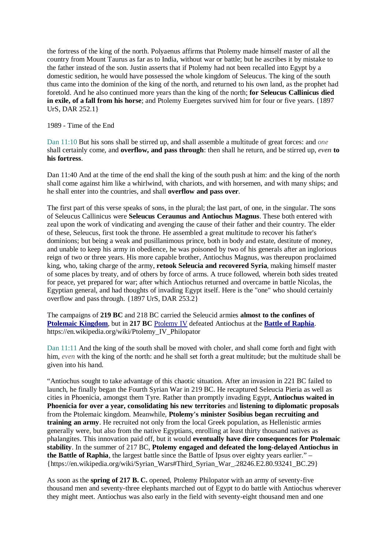the fortress of the king of the north. Polyaenus affirms that Ptolemy made himself master of all the country from Mount Taurus as far as to India, without war or battle; but he ascribes it by mistake to the father instead of the son. Justin asserts that if Ptolemy had not been recalled into Egypt by a domestic sedition, he would have possessed the whole kingdom of Seleucus. The king of the south thus came into the dominion of the king of the north, and returned to his own land, as the prophet had foretold. And he also continued more years than the king of the north; **for Seleucus Callinicus died in exile, of a fall from his horse**; and Ptolemy Euergetes survived him for four or five years. {1897} UrS, DAR 252.1}

1989 - Time of the End

Dan 11:10 But his sons shall be stirred up, and shall assemble a multitude of great forces: and *one* shall certainly come, and **overflow, and pass through**: then shall he return, and be stirred up, *even* **to his fortress**.

Dan 11:40 And at the time of the end shall the king of the south push at him: and the king of the north shall come against him like a whirlwind, with chariots, and with horsemen, and with many ships; and he shall enter into the countries, and shall **overflow and pass over**.

The first part of this verse speaks of sons, in the plural; the last part, of one, in the singular. The sons of Seleucus Callinicus were **Seleucus Ceraunus and Antiochus Magnus**. These both entered with zeal upon the work of vindicating and avenging the cause of their father and their country. The elder of these, Seleucus, first took the throne. He assembled a great multitude to recover his father's dominions; but being a weak and pusillanimous prince, both in body and estate, destitute of money, and unable to keep his army in obedience, he was poisoned by two of his generals after an inglorious reign of two or three years. His more capable brother, Antiochus Magnus, was thereupon proclaimed king, who, taking charge of the army, **retook Seleucia and recovered Syria**, making himself master of some places by treaty, and of others by force of arms. A truce followed, wherein both sides treated for peace, yet prepared for war; after which Antiochus returned and overcame in battle Nicolas, the Egyptian general, and had thoughts of invading Egypt itself. Here is the "one" who should certainly overflow and pass through. {1897 UrS, DAR 253.2}

The campaigns of **219 BC** and 218 BC carried the Seleucid armies **almost to the confines of Ptolemaic Kingdom**, but in **217 BC** Ptolemy IV defeated Antiochus at the **Battle of Raphia**. https://en.wikipedia.org/wiki/Ptolemy\_IV\_Philopator

Dan 11:11 And the king of the south shall be moved with choler, and shall come forth and fight with him, *even* with the king of the north: and he shall set forth a great multitude; but the multitude shall be given into his hand.

"Antiochus sought to take advantage of this chaotic situation. After an invasion in 221 BC failed to launch, he finally began the Fourth Syrian War in 219 BC. He recaptured Seleucia Pieria as well as cities in Phoenicia, amongst them Tyre. Rather than promptly invading Egypt, **Antiochus waited in Phoenicia for over a year, consolidating his new territories** and **listening to diplomatic proposals** from the Ptolemaic kingdom. Meanwhile, **Ptolemy's minister Sosibius began recruiting and training an army**. He recruited not only from the local Greek population, as Hellenistic armies generally were, but also from the native Egyptians, enrolling at least thirty thousand natives as phalangites. This innovation paid off, but it would **eventually have dire consequences for Ptolemaic stability**. In the summer of 217 BC, **Ptolemy engaged and defeated the long-delayed Antiochus in the Battle of Raphia**, the largest battle since the Battle of Ipsus over eighty years earlier." – {https://en.wikipedia.org/wiki/Syrian\_Wars#Third\_Syrian\_War\_.28246.E2.80.93241\_BC.29}

As soon as the **spring of 217 B. C.** opened, Ptolemy Philopator with an army of seventy-five thousand men and seventy-three elephants marched out of Egypt to do battle with Antiochus wherever they might meet. Antiochus was also early in the field with seventy-eight thousand men and one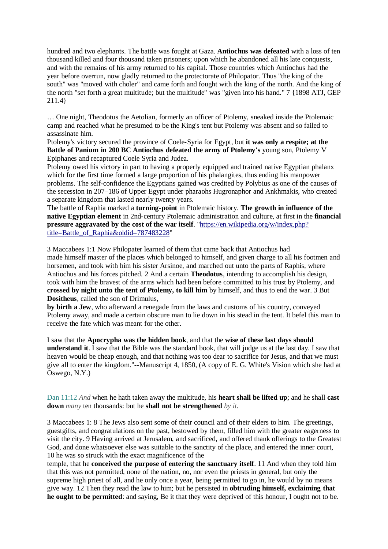hundred and two elephants. The battle was fought at Gaza. **Antiochus was defeated** with a loss of ten thousand killed and four thousand taken prisoners; upon which he abandoned all his late conquests, and with the remains of his army returned to his capital. Those countries which Antiochus had the year before overrun, now gladly returned to the protectorate of Philopator. Thus "the king of the south" was "moved with choler" and came forth and fought with the king of the north. And the king of the north "set forth a great multitude; but the multitude" was "given into his hand." 7 {1898 ATJ, GEP 211.4}

… One night, Theodotus the Aetolian, formerly an officer of Ptolemy, sneaked inside the Ptolemaic camp and reached what he presumed to be the King's tent but Ptolemy was absent and so failed to assassinate him.

Ptolemy's victory secured the province of Coele-Syria for Egypt, but **it was only a respite; at the Battle of Panium in 200 BC Antiochus defeated the army of Ptolemy's** young son, Ptolemy V Epiphanes and recaptured Coele Syria and Judea.

Ptolemy owed his victory in part to having a properly equipped and trained native Egyptian phalanx which for the first time formed a large proportion of his phalangites, thus ending his manpower problems. The self-confidence the Egyptians gained was credited by Polybius as one of the causes of the secession in 207–186 of Upper Egypt under pharaohs Hugronaphor and Ankhmakis, who created a separate kingdom that lasted nearly twenty years.

The battle of Raphia marked a **turning-point** in Ptolemaic history. **The growth in influence of the native Egyptian element** in 2nd-century Ptolemaic administration and culture, at first in the **financial pressure aggravated by the cost of the war itself**. "https://en.wikipedia.org/w/index.php? title=Battle\_of\_Raphia&oldid=787483228"

3 Maccabees 1:1 Now Philopater learned of them that came back that Antiochus had made himself master of the places which belonged to himself, and given charge to all his footmen and horsemen, and took with him his sister Arsinoe, and marched out unto the parts of Raphis, where Antiochus and his forces pitched. 2 And a certain **Theodotus**, intending to accomplish his design, took with him the bravest of the arms which had been before committed to his trust by Ptolemy, and **crossed by night unto the tent of Ptolemy, to kill him** by himself, and thus to end the war. 3 But **Dositheus**, called the son of Drimulus,

**by birth a Jew**, who afterward a renegade from the laws and customs of his country, conveyed Ptolemy away, and made a certain obscure man to lie down in his stead in the tent. It befel this man to receive the fate which was meant for the other.

I saw that the **Apocrypha was the hidden book**, and that the **wise of these last days should understand it**. I saw that the Bible was the standard book, that will judge us at the last day. I saw that heaven would be cheap enough, and that nothing was too dear to sacrifice for Jesus, and that we must give all to enter the kingdom."--Manuscript 4, 1850, (A copy of E. G. White's Vision which she had at Oswego, N.Y.)

Dan 11:12 *And* when he hath taken away the multitude, his **heart shall be lifted up**; and he shall **cast down** *many* ten thousands: but he **shall not be strengthened** *by it.*

3 Maccabees 1: 8 The Jews also sent some of their council and of their elders to him. The greetings, guestgifts, and congratulations on the past, bestowed by them, filled him with the greater eagerness to visit the city. 9 Having arrived at Jerusalem, and sacrificed, and offered thank offerings to the Greatest God, and done whatsoever else was suitable to the sanctity of the place, and entered the inner court, 10 he was so struck with the exact magnificence of the

temple, that he **conceived the purpose of entering the sanctuary itself**. 11 And when they told him that this was not permitted, none of the nation, no, nor even the priests in general, but only the supreme high priest of all, and he only once a year, being permitted to go in, he would by no means give way. 12 Then they read the law to him; but he persisted in **obtruding himself, exclaiming that he ought to be permitted**: and saying, Be it that they were deprived of this honour, I ought not to be.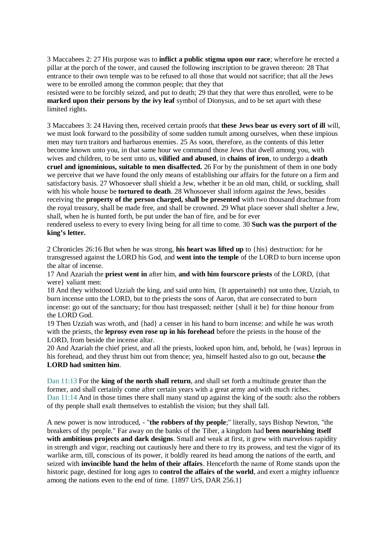3 Maccabees 2: 27 His purpose was to **inflict a public stigma upon our race**; wherefore he erected a pillar at the porch of the tower, and caused the following inscription to be graven thereon: 28 That entrance to their own temple was to be refused to all those that would not sacrifice; that all the Jews were to be enrolled among the common people; that they that

resisted were to be forcibly seized, and put to death; 29 that they that were thus enrolled, were to be **marked upon their persons by the ivy leaf** symbol of Dionysus, and to be set apart with these limited rights.

3 Maccabees 3: 24 Having then, received certain proofs that **these Jews bear us every sort of ill** will, we must look forward to the possibility of some sudden tumult among ourselves, when these impious men may turn traitors and barbarous enemies. 25 As soon, therefore, as the contents of this letter become known unto you, in that same hour we command those Jews that dwell among you, with wives and children, to be sent unto us, **vilified and abused**, in **chains of iron**, to undergo a **death cruel and ignominious, suitable to men disaffected.** 26 For by the punishment of them in one body we perceive that we have found the only means of establishing our affairs for the future on a firm and satisfactory basis. 27 Whosoever shall shield a Jew, whether it be an old man, child, or suckling, shall with his whole house be **tortured to death**. 28 Whosoever shall inform against the Jews, besides receiving the **property of the person charged, shall be presented** with two thousand drachmae from the royal treasury, shall be made free, and shall be crowned. 29 What place soever shall shelter a Jew, shall, when he is hunted forth, be put under the ban of fire, and be for ever

rendered useless to every to every living being for all time to come. 30 **Such was the purport of the king's letter.**

2 Chronicles 26:16 But when he was strong, **his heart was lifted up** to {his} destruction: for he transgressed against the LORD his God, and **went into the temple** of the LORD to burn incense upon the altar of incense.

17 And Azariah the **priest went in** after him, **and with him fourscore priests** of the LORD, {that were} valiant men:

18 And they withstood Uzziah the king, and said unto him, {It appertaineth} not unto thee, Uzziah, to burn incense unto the LORD, but to the priests the sons of Aaron, that are consecrated to burn incense: go out of the sanctuary; for thou hast trespassed; neither {shall it be} for thine honour from the LORD God.

19 Then Uzziah was wroth, and {had} a censer in his hand to burn incense: and while he was wroth with the priests, the **leprosy even rose up in his forehead** before the priests in the house of the LORD, from beside the incense altar.

20 And Azariah the chief priest, and all the priests, looked upon him, and, behold, he {was} leprous in his forehead, and they thrust him out from thence; yea, himself hasted also to go out, because **the LORD had smitten him**.

Dan 11:13 For the **king of the north shall return**, and shall set forth a multitude greater than the former, and shall certainly come after certain years with a great army and with much riches. Dan 11:14 And in those times there shall many stand up against the king of the south: also the robbers of thy people shall exalt themselves to establish the vision; but they shall fall.

A new power is now introduced, - "**the robbers of thy people**;" literally, says Bishop Newton, "the breakers of thy people." Far away on the banks of the Tiber, a kingdom had **been nourishing itself with ambitious projects and dark designs**. Small and weak at first, it grew with marvelous rapidity in strength and vigor, reaching out cautiously here and there to try its prowess, and test the vigor of its warlike arm, till, conscious of its power, it boldly reared its head among the nations of the earth, and seized with **invincible hand the helm of their affairs**. Henceforth the name of Rome stands upon the historic page, destined for long ages to **control the affairs of the world**, and exert a mighty influence among the nations even to the end of time. {1897 UrS, DAR 256.1}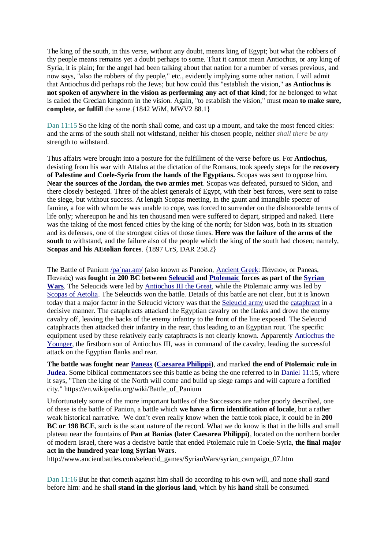The king of the south, in this verse, without any doubt, means king of Egypt; but what the robbers of thy people means remains yet a doubt perhaps to some. That it cannot mean Antiochus, or any king of Syria, it is plain; for the angel had been talking about that nation for a number of verses previous, and now says, "also the robbers of thy people," etc., evidently implying some other nation. I will admit that Antiochus did perhaps rob the Jews; but how could this "establish the vision," **as Antiochus is not spoken of anywhere in the vision as performing any act of that kind**; for he belonged to what is called the Grecian kingdom in the vision. Again, "to establish the vision," must mean **to make sure, complete, or fulfill** the same.{1842 WiM, MWV2 88.1}

Dan 11:15 So the king of the north shall come, and cast up a mount, and take the most fenced cities: and the arms of the south shall not withstand, neither his chosen people, neither *shall there be any* strength to withstand.

Thus affairs were brought into a posture for the fulfillment of the verse before us. For **Antiochus,** desisting from his war with Attalus at the dictation of the Romans, took speedy steps for the **recovery of Palestine and Coele-Syria from the hands of the Egyptians.** Scopas was sent to oppose him. **Near the sources of the Jordan, the two armies met**. Scopas was defeated, pursued to Sidon, and there closely besieged. Three of the ablest generals of Egypt, with their best forces, were sent to raise the siege, but without success. At length Scopas meeting, in the gaunt and intangible specter of famine, a foe with whom he was unable to cope, was forced to surrender on the dishonorable terms of life only; whereupon he and his ten thousand men were suffered to depart, stripped and naked. Here was the taking of the most fenced cities by the king of the north; for Sidon was, both in its situation and its defenses, one of the strongest cities of those times. **Here was the failure of the arms of the south** to withstand, and the failure also of the people which the king of the south had chosen; namely, **Scopas and his AEtolian forces**. {1897 UrS, DAR 258.2}

The Battle of Panium /pəˈnaɪ.əm/ (also known as Paneion, Ancient Greek: Πάνειον, or Paneas, Πανειάς) was **fought in 200 BC between Seleucid and Ptolemaic forces as part of the Syrian Wars**. The Seleucids were led by Antiochus III the Great, while the Ptolemaic army was led by Scopas of Aetolia. The Seleucids won the battle. Details of this battle are not clear, but it is known today that a major factor in the Seleucid victory was that the Seleucid army used the cataphract in a decisive manner. The cataphracts attacked the Egyptian cavalry on the flanks and drove the enemy cavalry off, leaving the backs of the enemy infantry to the front of the line exposed. The Seleucid cataphracts then attacked their infantry in the rear, thus leading to an Egyptian rout. The specific equipment used by these relatively early cataphracts is not clearly known. Apparently Antiochus the Younger, the firstborn son of Antiochus III, was in command of the cavalry, leading the successful attack on the Egyptian flanks and rear.

**The battle was fought near Paneas (Caesarea Philippi)**, and marked **the end of Ptolemaic rule in Judea**. Some biblical commentators see this battle as being the one referred to in Daniel 11:15, where it says, "Then the king of the North will come and build up siege ramps and will capture a fortified city." https://en.wikipedia.org/wiki/Battle\_of\_Panium

Unfortunately some of the more important battles of the Successors are rather poorly described, one of these is the battle of Panion, a battle which **we have a firm identification of locale**, but a rather weak historical narrative. We don't even really know when the battle took place, it could be in **200 BC or 198 BCE**, such is the scant nature of the record. What we do know is that in the hills and small plateau near the fountains of **Pan at Banias (later Caesarea Philippi)**, located on the northern border of modern Israel, there was a decisive battle that ended Ptolemaic rule in Coele-Syria, **the final major act in the hundred year long Syrian Wars**.

http://www.ancientbattles.com/seleucid\_games/SyrianWars/syrian\_campaign\_07.htm

Dan 11:16 But he that cometh against him shall do according to his own will, and none shall stand before him: and he shall **stand in the glorious land**, which by his **hand** shall be consumed.